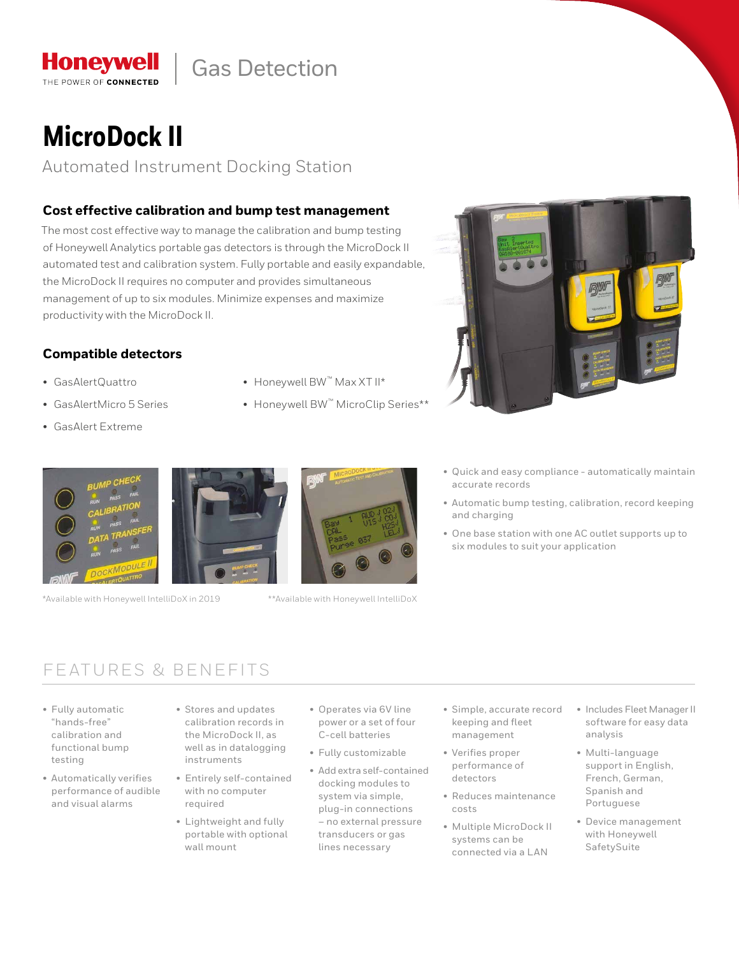## Gas Detection

# **MicroDock II**

**Honeywell** THE POWER OF CONNECTED

Automated Instrument Docking Station

### **Cost effective calibration and bump test management**

The most cost effective way to manage the calibration and bump testing of Honeywell Analytics portable gas detectors is through the MicroDock II automated test and calibration system. Fully portable and easily expandable, the MicroDock II requires no computer and provides simultaneous management of up to six modules. Minimize expenses and maximize productivity with the MicroDock II.

### **Compatible detectors**

- GasAlertQuattro
- GasAlertMicro 5 Series
- GasAlert Extreme
- Honeywell BW™ Max XT II\*
- Honeywell BW™ MicroClip Series\*\*



\*Available with Honeywell IntelliDoX in 2019 \*\*Available with Honeywell IntelliDoX



- 
- Quick and easy compliance automatically maintain accurate records
- Automatic bump testing, calibration, record keeping and charging
- One base station with one AC outlet supports up to six modules to suit your application

### FEATURES & BENEFITS

- Fully automatic "hands-free" calibration and functional bump testing
- Automatically verifies performance of audible and visual alarms
- Stores and updates calibration records in the MicroDock II, as well as in datalogging instruments
- Entirely self-contained with no computer required
- Lightweight and fully portable with optional wall mount
- Operates via 6V line power or a set of four C-cell batteries
- Fully customizable
- Add extra self-contained docking modules to system via simple, plug-in connections – no external pressure transducers or gas lines necessary
- Simple, accurate record keeping and fleet management
- Verifies proper performance of detectors
- Reduces maintenance costs
- Multiple MicroDock II systems can be connected via a LAN
- Includes Fleet Manager II software for easy data analysis
- Multi-language support in English, French, German, Spanish and Portuguese
- Device management with Honeywell SafetySuite